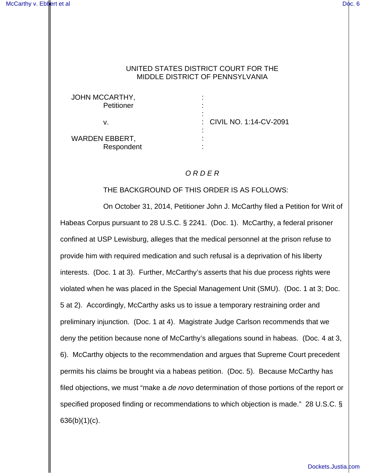## UNITED STATES DISTRICT COURT FOR THE MIDDLE DISTRICT OF PENNSYLVANIA

: : :

: : :

JOHN MCCARTHY, **Petitioner** 

v.

: CIVIL NO. 1:14-CV-2091

WARDEN EBBERT, Respondent

## O R D E R

## THE BACKGROUND OF THIS ORDER IS AS FOLLOWS:

On October 31, 2014, Petitioner John J. McCarthy filed a Petition for Writ of Habeas Corpus pursuant to 28 U.S.C. § 2241. (Doc. 1). McCarthy, a federal prisoner confined at USP Lewisburg, alleges that the medical personnel at the prison refuse to provide him with required medication and such refusal is a deprivation of his liberty interests. (Doc. 1 at 3). Further, McCarthy's asserts that his due process rights were violated when he was placed in the Special Management Unit (SMU). (Doc. 1 at 3; Doc. 5 at 2). Accordingly, McCarthy asks us to issue a temporary restraining order and preliminary injunction. (Doc. 1 at 4). Magistrate Judge Carlson recommends that we deny the petition because none of McCarthy's allegations sound in habeas. (Doc. 4 at 3, 6). McCarthy objects to the recommendation and argues that Supreme Court precedent permits his claims be brought via a habeas petition. (Doc. 5). Because McCarthy has filed objections, we must "make a de novo determination of those portions of the report or specified proposed finding or recommendations to which objection is made." 28 U.S.C. §  $636(b)(1)(c)$ .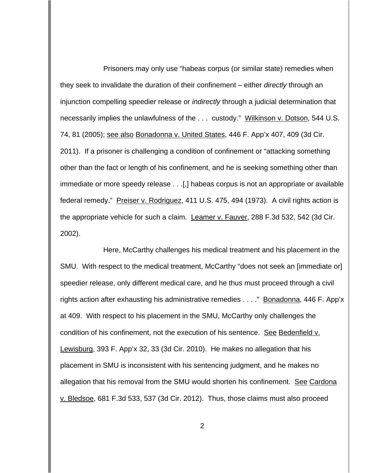Prisoners may only use "habeas corpus (or similar state) remedies when they seek to invalidate the duration of their confinement – either *directly* through an injunction compelling speedier release or *indirectly* through a judicial determination that necessarily implies the unlawfulness of the . . . custody." Wilkinson v. Dotson, 544 U.S. 74, 81 (2005); see also Bonadonna v. United States, 446 F. App'x 407, 409 (3d Cir. 2011). If a prisoner is challenging a condition of confinement or "attacking something other than the fact or length of his confinement, and he is seeking something other than immediate or more speedy release . . .[,] habeas corpus is not an appropriate or available federal remedy." Preiser v. Rodriguez, 411 U.S. 475, 494 (1973). A civil rights action is the appropriate vehicle for such a claim. Leamer v. Fauver, 288 F.3d 532, 542 (3d Cir. 2002).

Here, McCarthy challenges his medical treatment and his placement in the SMU. With respect to the medical treatment, McCarthy "does not seek an [immediate or] speedier release, only different medical care, and he thus must proceed through a civil rights action after exhausting his administrative remedies . . . ." Bonadonna, 446 F. App'x at 409. With respect to his placement in the SMU, McCarthy only challenges the condition of his confinement, not the execution of his sentence. See Bedenfield v. Lewisburg, 393 F. App'x 32, 33 (3d Cir. 2010). He makes no allegation that his placement in SMU is inconsistent with his sentencing judgment, and he makes no allegation that his removal from the SMU would shorten his confinement. See Cardona v. Bledsoe, 681 F.3d 533, 537 (3d Cir. 2012). Thus, those claims must also proceed